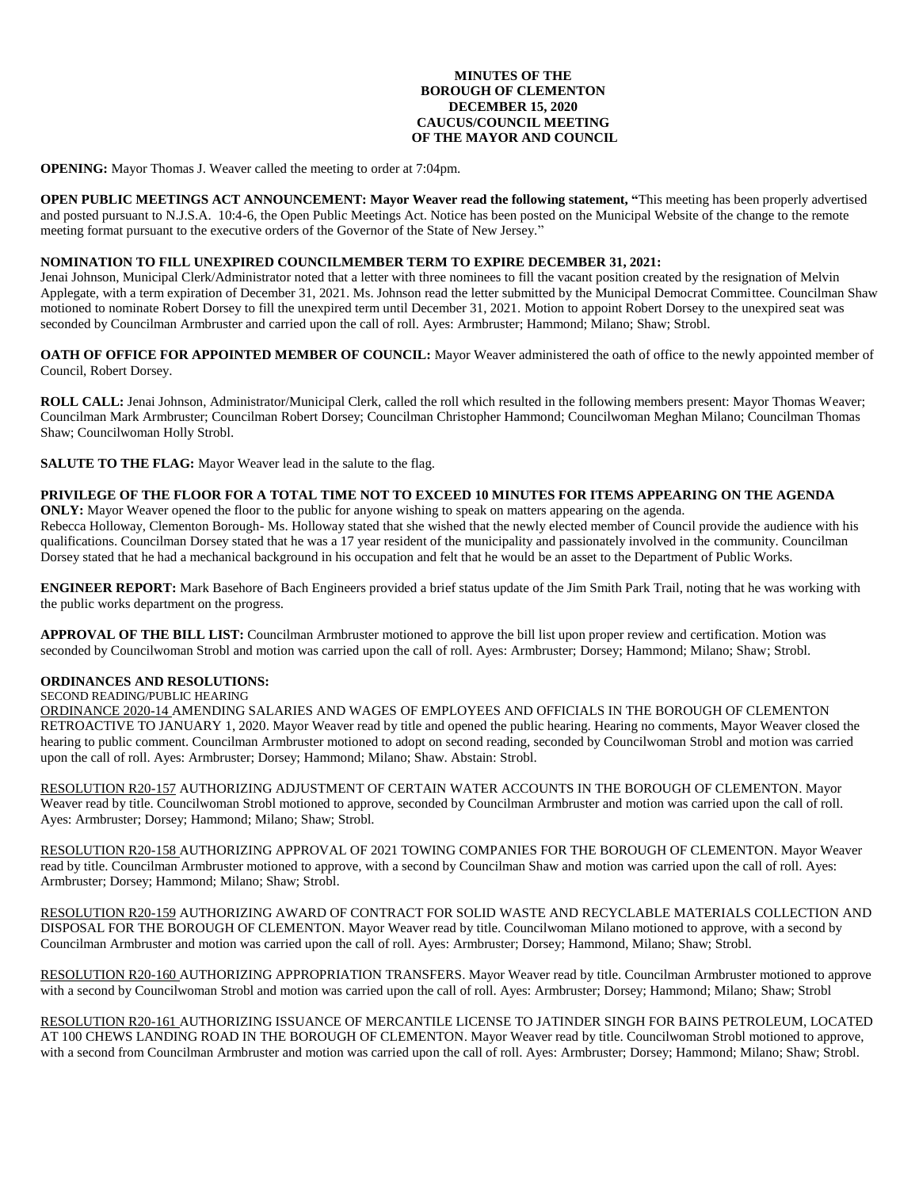### **MINUTES OF THE BOROUGH OF CLEMENTON DECEMBER 15, 2020 CAUCUS/COUNCIL MEETING OF THE MAYOR AND COUNCIL**

**OPENING:** Mayor Thomas J. Weaver called the meeting to order at 7:04pm.

**OPEN PUBLIC MEETINGS ACT ANNOUNCEMENT: Mayor Weaver read the following statement, "**This meeting has been properly advertised and posted pursuant to N.J.S.A. 10:4-6, the Open Public Meetings Act. Notice has been posted on the Municipal Website of the change to the remote meeting format pursuant to the executive orders of the Governor of the State of New Jersey."

## **NOMINATION TO FILL UNEXPIRED COUNCILMEMBER TERM TO EXPIRE DECEMBER 31, 2021:**

Jenai Johnson, Municipal Clerk/Administrator noted that a letter with three nominees to fill the vacant position created by the resignation of Melvin Applegate, with a term expiration of December 31, 2021. Ms. Johnson read the letter submitted by the Municipal Democrat Committee. Councilman Shaw motioned to nominate Robert Dorsey to fill the unexpired term until December 31, 2021. Motion to appoint Robert Dorsey to the unexpired seat was seconded by Councilman Armbruster and carried upon the call of roll. Ayes: Armbruster; Hammond; Milano; Shaw; Strobl.

**OATH OF OFFICE FOR APPOINTED MEMBER OF COUNCIL:** Mayor Weaver administered the oath of office to the newly appointed member of Council, Robert Dorsey.

**ROLL CALL:** Jenai Johnson, Administrator/Municipal Clerk, called the roll which resulted in the following members present: Mayor Thomas Weaver; Councilman Mark Armbruster; Councilman Robert Dorsey; Councilman Christopher Hammond; Councilwoman Meghan Milano; Councilman Thomas Shaw; Councilwoman Holly Strobl.

**SALUTE TO THE FLAG:** Mayor Weaver lead in the salute to the flag.

# **PRIVILEGE OF THE FLOOR FOR A TOTAL TIME NOT TO EXCEED 10 MINUTES FOR ITEMS APPEARING ON THE AGENDA**

**ONLY:** Mayor Weaver opened the floor to the public for anyone wishing to speak on matters appearing on the agenda. Rebecca Holloway, Clementon Borough- Ms. Holloway stated that she wished that the newly elected member of Council provide the audience with his qualifications. Councilman Dorsey stated that he was a 17 year resident of the municipality and passionately involved in the community. Councilman Dorsey stated that he had a mechanical background in his occupation and felt that he would be an asset to the Department of Public Works.

**ENGINEER REPORT:** Mark Basehore of Bach Engineers provided a brief status update of the Jim Smith Park Trail, noting that he was working with the public works department on the progress.

**APPROVAL OF THE BILL LIST:** Councilman Armbruster motioned to approve the bill list upon proper review and certification. Motion was seconded by Councilwoman Strobl and motion was carried upon the call of roll. Ayes: Armbruster; Dorsey; Hammond; Milano; Shaw; Strobl.

## **ORDINANCES AND RESOLUTIONS:**

# SECOND READING/PUBLIC HEARING

ORDINANCE 2020-14 AMENDING SALARIES AND WAGES OF EMPLOYEES AND OFFICIALS IN THE BOROUGH OF CLEMENTON RETROACTIVE TO JANUARY 1, 2020. Mayor Weaver read by title and opened the public hearing. Hearing no comments, Mayor Weaver closed the hearing to public comment. Councilman Armbruster motioned to adopt on second reading, seconded by Councilwoman Strobl and motion was carried upon the call of roll. Ayes: Armbruster; Dorsey; Hammond; Milano; Shaw. Abstain: Strobl.

RESOLUTION R20-157 AUTHORIZING ADJUSTMENT OF CERTAIN WATER ACCOUNTS IN THE BOROUGH OF CLEMENTON. Mayor Weaver read by title. Councilwoman Strobl motioned to approve, seconded by Councilman Armbruster and motion was carried upon the call of roll. Ayes: Armbruster; Dorsey; Hammond; Milano; Shaw; Strobl.

RESOLUTION R20-158 AUTHORIZING APPROVAL OF 2021 TOWING COMPANIES FOR THE BOROUGH OF CLEMENTON. Mayor Weaver read by title. Councilman Armbruster motioned to approve, with a second by Councilman Shaw and motion was carried upon the call of roll. Ayes: Armbruster; Dorsey; Hammond; Milano; Shaw; Strobl.

RESOLUTION R20-159 AUTHORIZING AWARD OF CONTRACT FOR SOLID WASTE AND RECYCLABLE MATERIALS COLLECTION AND DISPOSAL FOR THE BOROUGH OF CLEMENTON. Mayor Weaver read by title. Councilwoman Milano motioned to approve, with a second by Councilman Armbruster and motion was carried upon the call of roll. Ayes: Armbruster; Dorsey; Hammond, Milano; Shaw; Strobl.

RESOLUTION R20-160 AUTHORIZING APPROPRIATION TRANSFERS. Mayor Weaver read by title. Councilman Armbruster motioned to approve with a second by Councilwoman Strobl and motion was carried upon the call of roll. Ayes: Armbruster; Dorsey; Hammond; Milano; Shaw; Strobl

RESOLUTION R20-161 AUTHORIZING ISSUANCE OF MERCANTILE LICENSE TO JATINDER SINGH FOR BAINS PETROLEUM, LOCATED AT 100 CHEWS LANDING ROAD IN THE BOROUGH OF CLEMENTON. Mayor Weaver read by title. Councilwoman Strobl motioned to approve, with a second from Councilman Armbruster and motion was carried upon the call of roll. Ayes: Armbruster; Dorsey; Hammond; Milano; Shaw; Strobl.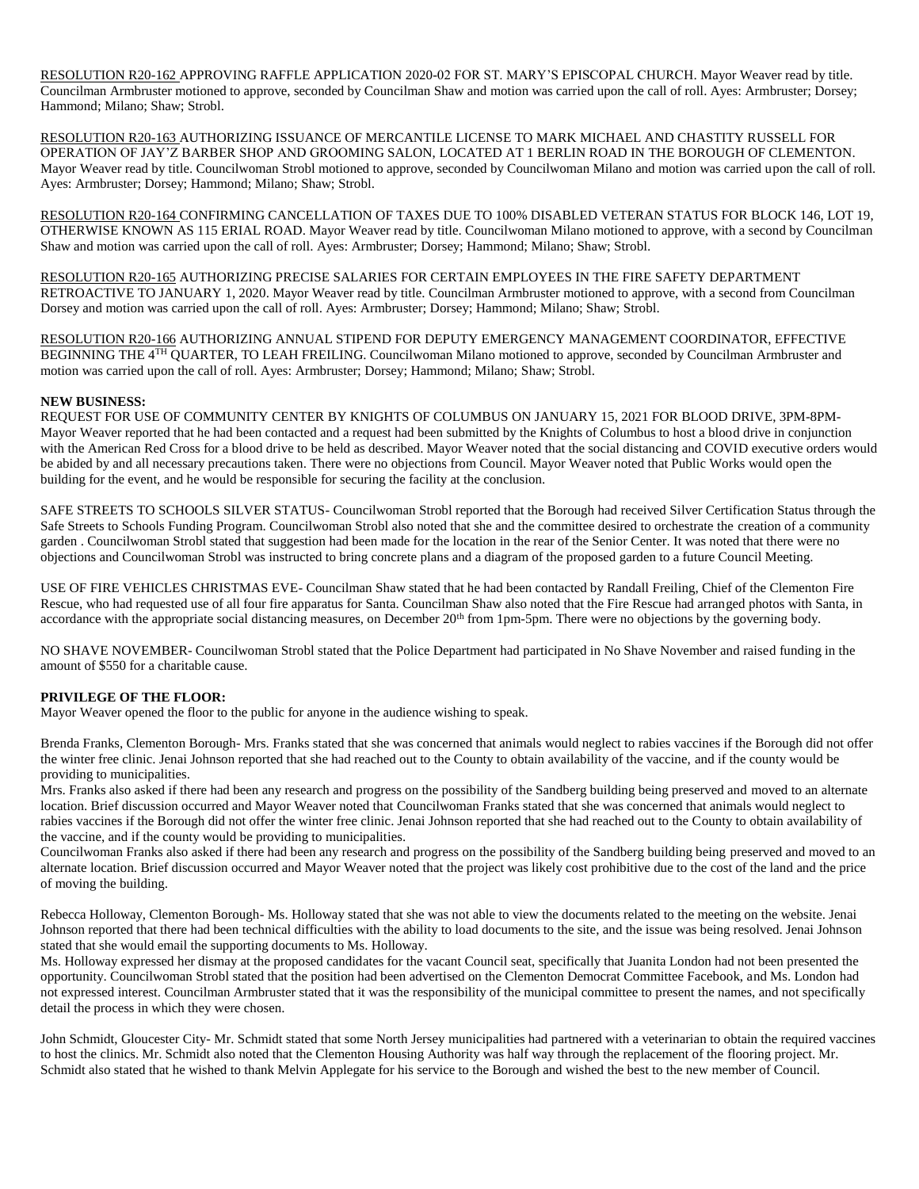RESOLUTION R20-162 APPROVING RAFFLE APPLICATION 2020-02 FOR ST. MARY'S EPISCOPAL CHURCH. Mayor Weaver read by title. Councilman Armbruster motioned to approve, seconded by Councilman Shaw and motion was carried upon the call of roll. Ayes: Armbruster; Dorsey; Hammond; Milano; Shaw; Strobl.

RESOLUTION R20-163 AUTHORIZING ISSUANCE OF MERCANTILE LICENSE TO MARK MICHAEL AND CHASTITY RUSSELL FOR OPERATION OF JAY'Z BARBER SHOP AND GROOMING SALON, LOCATED AT 1 BERLIN ROAD IN THE BOROUGH OF CLEMENTON. Mayor Weaver read by title. Councilwoman Strobl motioned to approve, seconded by Councilwoman Milano and motion was carried upon the call of roll. Ayes: Armbruster; Dorsey; Hammond; Milano; Shaw; Strobl.

RESOLUTION R20-164 CONFIRMING CANCELLATION OF TAXES DUE TO 100% DISABLED VETERAN STATUS FOR BLOCK 146, LOT 19, OTHERWISE KNOWN AS 115 ERIAL ROAD. Mayor Weaver read by title. Councilwoman Milano motioned to approve, with a second by Councilman Shaw and motion was carried upon the call of roll. Ayes: Armbruster; Dorsey; Hammond; Milano; Shaw; Strobl.

RESOLUTION R20-165 AUTHORIZING PRECISE SALARIES FOR CERTAIN EMPLOYEES IN THE FIRE SAFETY DEPARTMENT RETROACTIVE TO JANUARY 1, 2020. Mayor Weaver read by title. Councilman Armbruster motioned to approve, with a second from Councilman Dorsey and motion was carried upon the call of roll. Ayes: Armbruster; Dorsey; Hammond; Milano; Shaw; Strobl.

RESOLUTION R20-166 AUTHORIZING ANNUAL STIPEND FOR DEPUTY EMERGENCY MANAGEMENT COORDINATOR, EFFECTIVE BEGINNING THE 4TH QUARTER, TO LEAH FREILING. Councilwoman Milano motioned to approve, seconded by Councilman Armbruster and motion was carried upon the call of roll. Ayes: Armbruster; Dorsey; Hammond; Milano; Shaw; Strobl.

# **NEW BUSINESS:**

REQUEST FOR USE OF COMMUNITY CENTER BY KNIGHTS OF COLUMBUS ON JANUARY 15, 2021 FOR BLOOD DRIVE, 3PM-8PM-Mayor Weaver reported that he had been contacted and a request had been submitted by the Knights of Columbus to host a blood drive in conjunction with the American Red Cross for a blood drive to be held as described. Mayor Weaver noted that the social distancing and COVID executive orders would be abided by and all necessary precautions taken. There were no objections from Council. Mayor Weaver noted that Public Works would open the building for the event, and he would be responsible for securing the facility at the conclusion.

SAFE STREETS TO SCHOOLS SILVER STATUS- Councilwoman Strobl reported that the Borough had received Silver Certification Status through the Safe Streets to Schools Funding Program. Councilwoman Strobl also noted that she and the committee desired to orchestrate the creation of a community garden . Councilwoman Strobl stated that suggestion had been made for the location in the rear of the Senior Center. It was noted that there were no objections and Councilwoman Strobl was instructed to bring concrete plans and a diagram of the proposed garden to a future Council Meeting.

USE OF FIRE VEHICLES CHRISTMAS EVE- Councilman Shaw stated that he had been contacted by Randall Freiling, Chief of the Clementon Fire Rescue, who had requested use of all four fire apparatus for Santa. Councilman Shaw also noted that the Fire Rescue had arranged photos with Santa, in accordance with the appropriate social distancing measures, on December 20<sup>th</sup> from 1pm-5pm. There were no objections by the governing body.

NO SHAVE NOVEMBER- Councilwoman Strobl stated that the Police Department had participated in No Shave November and raised funding in the amount of \$550 for a charitable cause.

# **PRIVILEGE OF THE FLOOR:**

Mayor Weaver opened the floor to the public for anyone in the audience wishing to speak.

Brenda Franks, Clementon Borough- Mrs. Franks stated that she was concerned that animals would neglect to rabies vaccines if the Borough did not offer the winter free clinic. Jenai Johnson reported that she had reached out to the County to obtain availability of the vaccine, and if the county would be providing to municipalities.

Mrs. Franks also asked if there had been any research and progress on the possibility of the Sandberg building being preserved and moved to an alternate location. Brief discussion occurred and Mayor Weaver noted that Councilwoman Franks stated that she was concerned that animals would neglect to rabies vaccines if the Borough did not offer the winter free clinic. Jenai Johnson reported that she had reached out to the County to obtain availability of the vaccine, and if the county would be providing to municipalities.

Councilwoman Franks also asked if there had been any research and progress on the possibility of the Sandberg building being preserved and moved to an alternate location. Brief discussion occurred and Mayor Weaver noted that the project was likely cost prohibitive due to the cost of the land and the price of moving the building.

Rebecca Holloway, Clementon Borough- Ms. Holloway stated that she was not able to view the documents related to the meeting on the website. Jenai Johnson reported that there had been technical difficulties with the ability to load documents to the site, and the issue was being resolved. Jenai Johnson stated that she would email the supporting documents to Ms. Holloway.

Ms. Holloway expressed her dismay at the proposed candidates for the vacant Council seat, specifically that Juanita London had not been presented the opportunity. Councilwoman Strobl stated that the position had been advertised on the Clementon Democrat Committee Facebook, and Ms. London had not expressed interest. Councilman Armbruster stated that it was the responsibility of the municipal committee to present the names, and not specifically detail the process in which they were chosen.

John Schmidt, Gloucester City- Mr. Schmidt stated that some North Jersey municipalities had partnered with a veterinarian to obtain the required vaccines to host the clinics. Mr. Schmidt also noted that the Clementon Housing Authority was half way through the replacement of the flooring project. Mr. Schmidt also stated that he wished to thank Melvin Applegate for his service to the Borough and wished the best to the new member of Council.